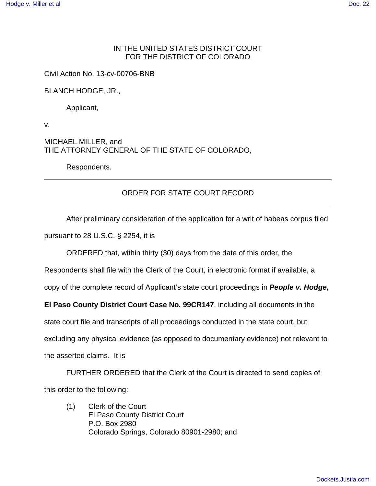## IN THE UNITED STATES DISTRICT COURT FOR THE DISTRICT OF COLORADO

Civil Action No. 13-cv-00706-BNB

BLANCH HODGE, JR.,

Applicant,

v.

MICHAEL MILLER, and THE ATTORNEY GENERAL OF THE STATE OF COLORADO,

Respondents.

## ORDER FOR STATE COURT RECORD

After preliminary consideration of the application for a writ of habeas corpus filed

pursuant to 28 U.S.C. § 2254, it is

ORDERED that, within thirty (30) days from the date of this order, the

Respondents shall file with the Clerk of the Court, in electronic format if available, a

copy of the complete record of Applicant's state court proceedings in **People v. Hodge,**

**El Paso County District Court Case No. 99CR147**, including all documents in the

state court file and transcripts of all proceedings conducted in the state court, but

excluding any physical evidence (as opposed to documentary evidence) not relevant to

the asserted claims. It is

FURTHER ORDERED that the Clerk of the Court is directed to send copies of this order to the following:

(1) Clerk of the Court El Paso County District Court P.O. Box 2980 Colorado Springs, Colorado 80901-2980; and